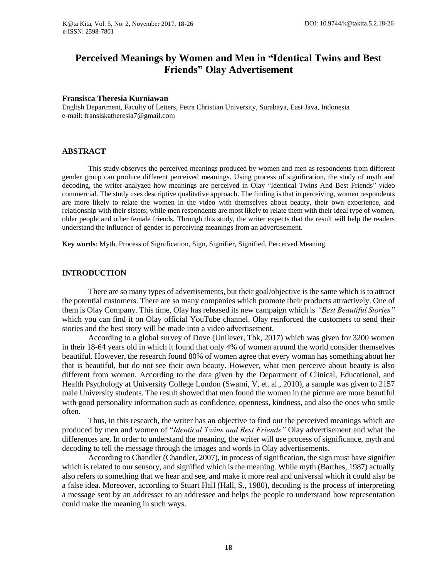# **Perceived Meanings by Women and Men in "Identical Twins and Best Friends" Olay Advertisement**

### **Fransisca Theresia Kurniawan**

English Department, Faculty of Letters, Petra Christian University, Surabaya, East Java, Indonesia e-mail: fransiskatheresia7@gmail.com

### **ABSTRACT**

This study observes the perceived meanings produced by women and men as respondents from different gender group can produce different perceived meanings. Using process of signification, the study of myth and decoding, the writer analyzed how meanings are perceived in Olay "Identical Twins And Best Friends" video commercial. The study uses descriptive qualitative approach. The finding is that in perceiving, women respondents are more likely to relate the women in the video with themselves about beauty, their own experience, and relationship with their sisters; while men respondents are most likely to relate them with their ideal type of women, older people and other female friends. Through this study, the writer expects that the result will help the readers understand the influence of gender in perceiving meanings from an advertisement.

**Key words**: Myth, Process of Signification, Sign, Signifier, Signified, Perceived Meaning.

# **INTRODUCTION**

There are so many types of advertisements, but their goal/objective is the same which is to attract the potential customers. There are so many companies which promote their products attractively. One of them is Olay Company. This time, Olay has released its new campaign which is *"Best Beautiful Stories"*  which you can find it on Olay official YouTube channel. Olay reinforced the customers to send their stories and the best story will be made into a video advertisement.

According to a global survey of Dove (Unilever, Tbk, 2017) which was given for 3200 women in their 18-64 years old in which it found that only 4% of women around the world consider themselves beautiful. However, the research found 80% of women agree that every woman has something about her that is beautiful, but do not see their own beauty. However, what men perceive about beauty is also different from women. According to the data given by the Department of Clinical, Educational, and Health Psychology at University College London (Swami, V, et. al., 2010), a sample was given to 2157 male University students. The result showed that men found the women in the picture are more beautiful with good personality information such as confidence, openness, kindness, and also the ones who smile often.

Thus, in this research, the writer has an objective to find out the perceived meanings which are produced by men and women of "*Identical Twins and Best Friends"* Olay advertisement and what the differences are. In order to understand the meaning, the writer will use process of significance, myth and decoding to tell the message through the images and words in Olay advertisements.

According to Chandler (Chandler, 2007), in process of signification, the sign must have signifier which is related to our sensory, and signified which is the meaning. While myth (Barthes, 1987) actually also refers to something that we hear and see, and make it more real and universal which it could also be a false idea. Moreover, according to Stuart Hall (Hall, S., 1980), decoding is the process of interpreting a message sent by an addresser to an addressee and helps the people to understand how representation could make the meaning in such ways.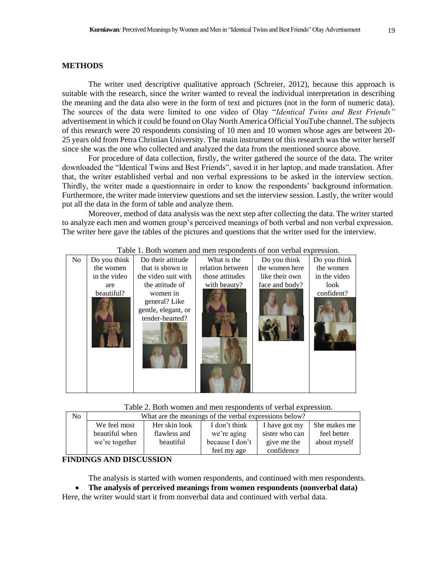### **METHODS**

The writer used descriptive qualitative approach (Schreier, 2012), because this approach is suitable with the research, since the writer wanted to reveal the individual interpretation in describing the meaning and the data also were in the form of text and pictures (not in the form of numeric data). The sources of the data were limited to one video of Olay "*Identical Twins and Best Friends"*  advertisement in which it could be found on Olay North America Official YouTube channel. The subjects of this research were 20 respondents consisting of 10 men and 10 women whose ages are between 20- 25 years old from Petra Christian University. The main instrument of this research was the writer herself since she was the one who collected and analyzed the data from the mentioned source above.

For procedure of data collection, firstly, the writer gathered the source of the data. The writer downloaded the "Identical Twins and Best Friends", saved it in her laptop, and made translation. After that, the writer established verbal and non verbal expressions to be asked in the interview section. Thirdly, the writer made a questionnaire in order to know the respondents' background information. Furthermore, the writer made interview questions and set the interview session. Lastly, the writer would put all the data in the form of table and analyze them.

Moreover, method of data analysis was the next step after collecting the data. The writer started to analyze each men and women group's perceived meanings of both verbal and non verbal expression. The writer here gave the tables of the pictures and questions that the writer used for the interview.

| I dole 1. Dotti wonich and men respondents of non-verbal expression. |              |                     |                  |                |              |  |  |  |  |
|----------------------------------------------------------------------|--------------|---------------------|------------------|----------------|--------------|--|--|--|--|
| No                                                                   | Do you think | Do their attitude   | What is the      | Do you think   | Do you think |  |  |  |  |
|                                                                      | the women    | that is shown in    | relation between | the women here | the women    |  |  |  |  |
|                                                                      | in the video | the video suit with | those attitudes  | like their own | in the video |  |  |  |  |
|                                                                      | are          | the attitude of     | with beauty?     | face and body? | look         |  |  |  |  |
|                                                                      | beautiful?   | women in            |                  |                | confident?   |  |  |  |  |
|                                                                      |              | general? Like       |                  |                |              |  |  |  |  |
|                                                                      |              | gentle, elegant, or |                  |                |              |  |  |  |  |
|                                                                      |              | tender-hearted?     |                  |                |              |  |  |  |  |
|                                                                      |              |                     |                  |                |              |  |  |  |  |
|                                                                      |              |                     |                  |                |              |  |  |  |  |
|                                                                      |              |                     |                  |                |              |  |  |  |  |

# Table 1. Both women and men respondents of non verbal expression.

Table 2. Both women and men respondents of verbal expression.

| N <sub>0</sub> | What are the meanings of the verbal expressions below? |               |                 |                |              |  |  |
|----------------|--------------------------------------------------------|---------------|-----------------|----------------|--------------|--|--|
|                | We feel most                                           | Her skin look | I don't think   | I have got my  | She makes me |  |  |
|                | beautiful when                                         | flawless and  | we're aging     | sister who can | feel better  |  |  |
|                | we're together                                         | beautiful     | because I don't | give me the    | about myself |  |  |
|                |                                                        |               | feel my age     | confidence     |              |  |  |

### **FINDINGS AND DISCUSSION**

The analysis is started with women respondents, and continued with men respondents.

• **The analysis of perceived meanings from women respondents (nonverbal data)** Here, the writer would start it from nonverbal data and continued with verbal data.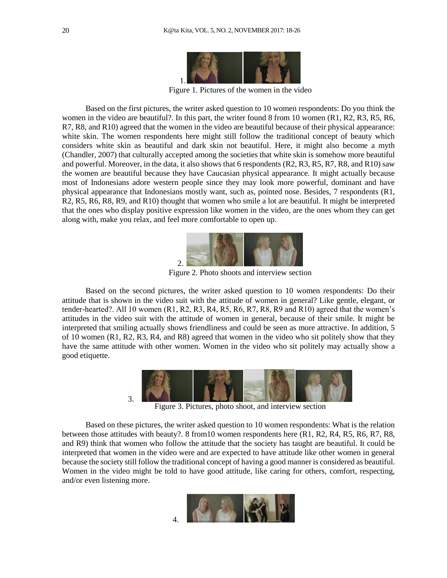

Figure 1. Pictures of the women in the video

Based on the first pictures, the writer asked question to 10 women respondents: Do you think the women in the video are beautiful?. In this part, the writer found 8 from 10 women (R1, R2, R3, R5, R6, R7, R8, and R10) agreed that the women in the video are beautiful because of their physical appearance: white skin. The women respondents here might still follow the traditional concept of beauty which considers white skin as beautiful and dark skin not beautiful. Here, it might also become a myth (Chandler, 2007) that culturally accepted among the societies that white skin is somehow more beautiful and powerful. Moreover, in the data, it also shows that 6 respondents (R2, R3, R5, R7, R8, and R10) saw the women are beautiful because they have Caucasian physical appearance. It might actually because most of Indonesians adore western people since they may look more powerful, dominant and have physical appearance that Indonesians mostly want, such as, pointed nose. Besides, 7 respondents (R1, R2, R5, R6, R8, R9, and R10) thought that women who smile a lot are beautiful. It might be interpreted that the ones who display positive expression like women in the video, are the ones whom they can get along with, make you relax, and feel more comfortable to open up.



Figure 2. Photo shoots and interview section

Based on the second pictures, the writer asked question to 10 women respondents: Do their attitude that is shown in the video suit with the attitude of women in general? Like gentle, elegant, or tender-hearted?. All 10 women (R1, R2, R3, R4, R5, R6, R7, R8, R9 and R10) agreed that the women's attitudes in the video suit with the attitude of women in general, because of their smile. It might be interpreted that smiling actually shows friendliness and could be seen as more attractive. In addition, 5 of 10 women (R1, R2, R3, R4, and R8) agreed that women in the video who sit politely show that they have the same attitude with other women. Women in the video who sit politely may actually show a good etiquette.



Figure 3. Pictures, photo shoot, and interview section

Based on these pictures, the writer asked question to 10 women respondents: What is the relation between those attitudes with beauty?. 8 from10 women respondents here (R1, R2, R4, R5, R6, R7, R8, and R9) think that women who follow the attitude that the society has taught are beautiful. It could be interpreted that women in the video were and are expected to have attitude like other women in general because the society still follow the traditional concept of having a good manner is considered as beautiful. Women in the video might be told to have good attitude, like caring for others, comfort, respecting, and/or even listening more.

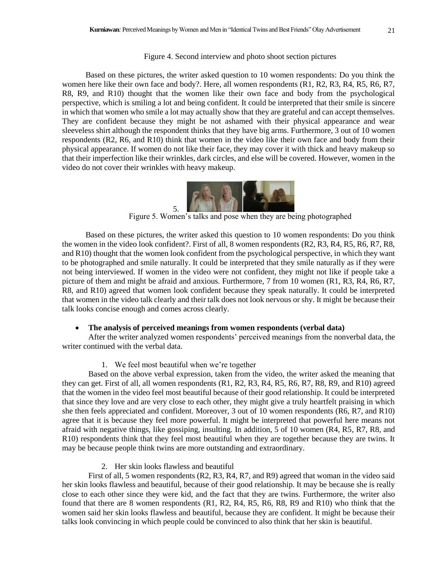### Figure 4. Second interview and photo shoot section pictures

Based on these pictures, the writer asked question to 10 women respondents: Do you think the women here like their own face and body?. Here, all women respondents (R1, R2, R3, R4, R5, R6, R7, R8, R9, and R10) thought that the women like their own face and body from the psychological perspective, which is smiling a lot and being confident. It could be interpreted that their smile is sincere in which that women who smile a lot may actually show that they are grateful and can accept themselves. They are confident because they might be not ashamed with their physical appearance and wear sleeveless shirt although the respondent thinks that they have big arms. Furthermore, 3 out of 10 women respondents (R2, R6, and R10) think that women in the video like their own face and body from their physical appearance. If women do not like their face, they may cover it with thick and heavy makeup so that their imperfection like their wrinkles, dark circles, and else will be covered. However, women in the video do not cover their wrinkles with heavy makeup.



Figure 5. Women's talks and pose when they are being photographed

Based on these pictures, the writer asked this question to 10 women respondents: Do you think the women in the video look confident?. First of all, 8 women respondents (R2, R3, R4, R5, R6, R7, R8, and R10) thought that the women look confident from the psychological perspective, in which they want to be photographed and smile naturally. It could be interpreted that they smile naturally as if they were not being interviewed. If women in the video were not confident, they might not like if people take a picture of them and might be afraid and anxious. Furthermore, 7 from 10 women (R1, R3, R4, R6, R7, R8, and R10) agreed that women look confident because they speak naturally. It could be interpreted that women in the video talk clearly and their talk does not look nervous or shy. It might be because their talk looks concise enough and comes across clearly.

#### • **The analysis of perceived meanings from women respondents (verbal data)**

After the writer analyzed women respondents' perceived meanings from the nonverbal data, the writer continued with the verbal data.

### 1. We feel most beautiful when we're together

Based on the above verbal expression, taken from the video, the writer asked the meaning that they can get. First of all, all women respondents (R1, R2, R3, R4, R5, R6, R7, R8, R9, and R10) agreed that the women in the video feel most beautiful because of their good relationship. It could be interpreted that since they love and are very close to each other, they might give a truly heartfelt praising in which she then feels appreciated and confident. Moreover, 3 out of 10 women respondents (R6, R7, and R10) agree that it is because they feel more powerful. It might be interpreted that powerful here means not afraid with negative things, like gossiping, insulting. In addition, 5 of 10 women (R4, R5, R7, R8, and R10) respondents think that they feel most beautiful when they are together because they are twins. It may be because people think twins are more outstanding and extraordinary.

### 2. Her skin looks flawless and beautiful

First of all, 5 women respondents (R2, R3, R4, R7, and R9) agreed that woman in the video said her skin looks flawless and beautiful, because of their good relationship. It may be because she is really close to each other since they were kid, and the fact that they are twins. Furthermore, the writer also found that there are 8 women respondents (R1, R2, R4, R5, R6, R8, R9 and R10) who think that the women said her skin looks flawless and beautiful, because they are confident. It might be because their talks look convincing in which people could be convinced to also think that her skin is beautiful.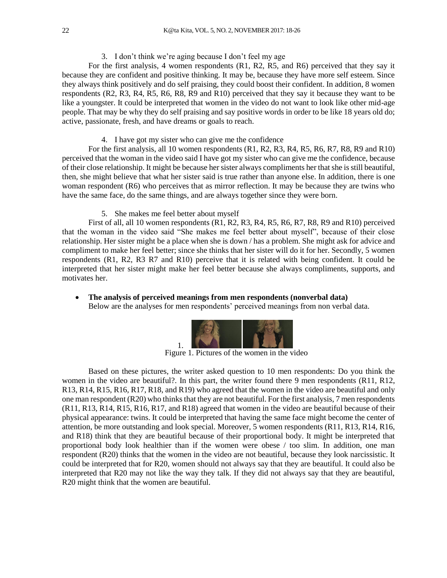# 3. I don't think we're aging because I don't feel my age

For the first analysis, 4 women respondents (R1, R2, R5, and R6) perceived that they say it because they are confident and positive thinking. It may be, because they have more self esteem. Since they always think positively and do self praising, they could boost their confident. In addition, 8 women respondents (R2, R3, R4, R5, R6, R8, R9 and R10) perceived that they say it because they want to be like a youngster. It could be interpreted that women in the video do not want to look like other mid-age people. That may be why they do self praising and say positive words in order to be like 18 years old do; active, passionate, fresh, and have dreams or goals to reach.

4. I have got my sister who can give me the confidence

For the first analysis, all 10 women respondents (R1, R2, R3, R4, R5, R6, R7, R8, R9 and R10) perceived that the woman in the video said I have got my sister who can give me the confidence, because of their close relationship. It might be because her sister always compliments her that she is still beautiful, then, she might believe that what her sister said is true rather than anyone else. In addition, there is one woman respondent (R6) who perceives that as mirror reflection. It may be because they are twins who have the same face, do the same things, and are always together since they were born.

5. She makes me feel better about myself

First of all, all 10 women respondents (R1, R2, R3, R4, R5, R6, R7, R8, R9 and R10) perceived that the woman in the video said "She makes me feel better about myself", because of their close relationship. Her sister might be a place when she is down / has a problem. She might ask for advice and compliment to make her feel better; since she thinks that her sister will do it for her. Secondly, 5 women respondents (R1, R2, R3 R7 and R10) perceive that it is related with being confident. It could be interpreted that her sister might make her feel better because she always compliments, supports, and motivates her.

• **The analysis of perceived meanings from men respondents (nonverbal data)** Below are the analyses for men respondents' perceived meanings from non verbal data.



Figure 1. Pictures of the women in the video

Based on these pictures, the writer asked question to 10 men respondents: Do you think the women in the video are beautiful?. In this part, the writer found there 9 men respondents (R11, R12, R13, R14, R15, R16, R17, R18, and R19) who agreed that the women in the video are beautiful and only one man respondent (R20) who thinks that they are not beautiful. For the first analysis, 7 men respondents (R11, R13, R14, R15, R16, R17, and R18) agreed that women in the video are beautiful because of their physical appearance: twins. It could be interpreted that having the same face might become the center of attention, be more outstanding and look special. Moreover, 5 women respondents (R11, R13, R14, R16, and R18) think that they are beautiful because of their proportional body. It might be interpreted that proportional body look healthier than if the women were obese / too slim. In addition, one man respondent (R20) thinks that the women in the video are not beautiful, because they look narcissistic. It could be interpreted that for R20, women should not always say that they are beautiful. It could also be interpreted that R20 may not like the way they talk. If they did not always say that they are beautiful, R20 might think that the women are beautiful.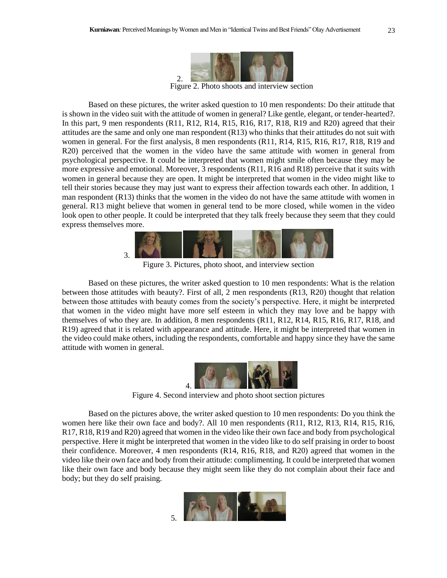

Figure 2. Photo shoots and interview section

Based on these pictures, the writer asked question to 10 men respondents: Do their attitude that is shown in the video suit with the attitude of women in general? Like gentle, elegant, or tender-hearted?. In this part, 9 men respondents (R11, R12, R14, R15, R16, R17, R18, R19 and R20) agreed that their attitudes are the same and only one man respondent (R13) who thinks that their attitudes do not suit with women in general. For the first analysis, 8 men respondents (R11, R14, R15, R16, R17, R18, R19 and R20) perceived that the women in the video have the same attitude with women in general from psychological perspective. It could be interpreted that women might smile often because they may be more expressive and emotional. Moreover, 3 respondents (R11, R16 and R18) perceive that it suits with women in general because they are open. It might be interpreted that women in the video might like to tell their stories because they may just want to express their affection towards each other. In addition, 1 man respondent (R13) thinks that the women in the video do not have the same attitude with women in general. R13 might believe that women in general tend to be more closed, while women in the video look open to other people. It could be interpreted that they talk freely because they seem that they could express themselves more.



Figure 3. Pictures, photo shoot, and interview section

Based on these pictures, the writer asked question to 10 men respondents: What is the relation between those attitudes with beauty?. First of all, 2 men respondents (R13, R20) thought that relation between those attitudes with beauty comes from the society's perspective. Here, it might be interpreted that women in the video might have more self esteem in which they may love and be happy with themselves of who they are. In addition, 8 men respondents (R11, R12, R14, R15, R16, R17, R18, and R19) agreed that it is related with appearance and attitude. Here, it might be interpreted that women in the video could make others, including the respondents, comfortable and happy since they have the same attitude with women in general.



Figure 4. Second interview and photo shoot section pictures

Based on the pictures above, the writer asked question to 10 men respondents: Do you think the women here like their own face and body?. All 10 men respondents (R11, R12, R13, R14, R15, R16, R17, R18, R19 and R20) agreed that women in the video like their own face and body from psychological perspective. Here it might be interpreted that women in the video like to do self praising in order to boost their confidence. Moreover, 4 men respondents (R14, R16, R18, and R20) agreed that women in the video like their own face and body from their attitude: complimenting. It could be interpreted that women like their own face and body because they might seem like they do not complain about their face and body; but they do self praising.

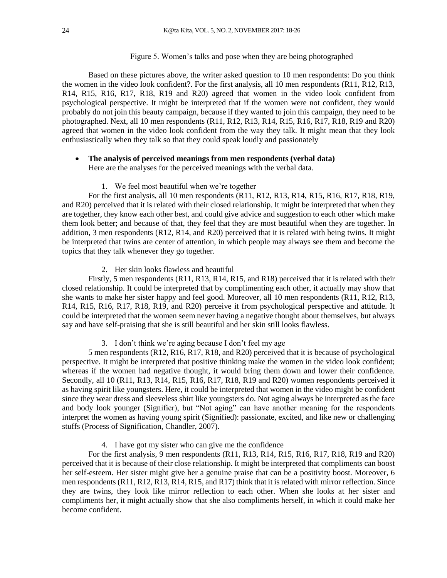## Figure 5. Women's talks and pose when they are being photographed

Based on these pictures above, the writer asked question to 10 men respondents: Do you think the women in the video look confident?. For the first analysis, all 10 men respondents (R11, R12, R13, R14, R15, R16, R17, R18, R19 and R20) agreed that women in the video look confident from psychological perspective. It might be interpreted that if the women were not confident, they would probably do not join this beauty campaign, because if they wanted to join this campaign, they need to be photographed. Next, all 10 men respondents (R11, R12, R13, R14, R15, R16, R17, R18, R19 and R20) agreed that women in the video look confident from the way they talk. It might mean that they look enthusiastically when they talk so that they could speak loudly and passionately

# • **The analysis of perceived meanings from men respondents (verbal data)**

Here are the analyses for the perceived meanings with the verbal data.

## 1. We feel most beautiful when we're together

For the first analysis, all 10 men respondents (R11, R12, R13, R14, R15, R16, R17, R18, R19, and R20) perceived that it is related with their closed relationship. It might be interpreted that when they are together, they know each other best, and could give advice and suggestion to each other which make them look better; and because of that, they feel that they are most beautiful when they are together. In addition, 3 men respondents (R12, R14, and R20) perceived that it is related with being twins. It might be interpreted that twins are center of attention, in which people may always see them and become the topics that they talk whenever they go together.

### 2. Her skin looks flawless and beautiful

Firstly, 5 men respondents (R11, R13, R14, R15, and R18) perceived that it is related with their closed relationship. It could be interpreted that by complimenting each other, it actually may show that she wants to make her sister happy and feel good. Moreover, all 10 men respondents (R11, R12, R13, R14, R15, R16, R17, R18, R19, and R20) perceive it from psychological perspective and attitude. It could be interpreted that the women seem never having a negative thought about themselves, but always say and have self-praising that she is still beautiful and her skin still looks flawless.

### 3. I don't think we're aging because I don't feel my age

5 men respondents (R12, R16, R17, R18, and R20) perceived that it is because of psychological perspective. It might be interpreted that positive thinking make the women in the video look confident; whereas if the women had negative thought, it would bring them down and lower their confidence. Secondly, all 10 (R11, R13, R14, R15, R16, R17, R18, R19 and R20) women respondents perceived it as having spirit like youngsters. Here, it could be interpreted that women in the video might be confident since they wear dress and sleeveless shirt like youngsters do. Not aging always be interpreted as the face and body look younger (Signifier), but "Not aging" can have another meaning for the respondents interpret the women as having young spirit (Signified): passionate, excited, and like new or challenging stuffs (Process of Signification, Chandler, 2007).

# 4. I have got my sister who can give me the confidence

For the first analysis, 9 men respondents (R11, R13, R14, R15, R16, R17, R18, R19 and R20) perceived that it is because of their close relationship. It might be interpreted that compliments can boost her self-esteem. Her sister might give her a genuine praise that can be a positivity boost. Moreover, 6 men respondents (R11, R12, R13, R14, R15, and R17) think that it is related with mirror reflection. Since they are twins, they look like mirror reflection to each other. When she looks at her sister and compliments her, it might actually show that she also compliments herself, in which it could make her become confident.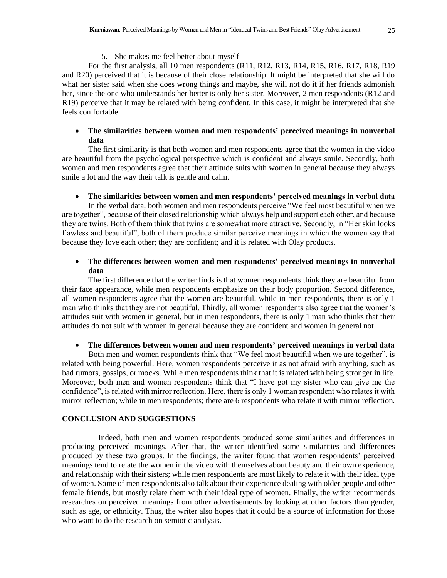For the first analysis, all 10 men respondents (R11, R12, R13, R14, R15, R16, R17, R18, R19 and R20) perceived that it is because of their close relationship. It might be interpreted that she will do what her sister said when she does wrong things and maybe, she will not do it if her friends admonish her, since the one who understands her better is only her sister. Moreover, 2 men respondents (R12 and R19) perceive that it may be related with being confident. In this case, it might be interpreted that she feels comfortable.

# • **The similarities between women and men respondents' perceived meanings in nonverbal data**

The first similarity is that both women and men respondents agree that the women in the video are beautiful from the psychological perspective which is confident and always smile. Secondly, both women and men respondents agree that their attitude suits with women in general because they always smile a lot and the way their talk is gentle and calm.

## • **The similarities between women and men respondents' perceived meanings in verbal data**

In the verbal data, both women and men respondents perceive "We feel most beautiful when we are together", because of their closed relationship which always help and support each other, and because they are twins. Both of them think that twins are somewhat more attractive. Secondly, in "Her skin looks flawless and beautiful", both of them produce similar perceive meanings in which the women say that because they love each other; they are confident; and it is related with Olay products.

# • **The differences between women and men respondents' perceived meanings in nonverbal data**

The first difference that the writer finds is that women respondents think they are beautiful from their face appearance, while men respondents emphasize on their body proportion. Second difference, all women respondents agree that the women are beautiful, while in men respondents, there is only 1 man who thinks that they are not beautiful. Thirdly, all women respondents also agree that the women's attitudes suit with women in general, but in men respondents, there is only 1 man who thinks that their attitudes do not suit with women in general because they are confident and women in general not.

## • **The differences between women and men respondents' perceived meanings in verbal data**

Both men and women respondents think that "We feel most beautiful when we are together", is related with being powerful. Here, women respondents perceive it as not afraid with anything, such as bad rumors, gossips, or mocks. While men respondents think that it is related with being stronger in life. Moreover, both men and women respondents think that "I have got my sister who can give me the confidence", is related with mirror reflection. Here, there is only 1 woman respondent who relates it with mirror reflection; while in men respondents; there are 6 respondents who relate it with mirror reflection.

# **CONCLUSION AND SUGGESTIONS**

Indeed, both men and women respondents produced some similarities and differences in producing perceived meanings. After that, the writer identified some similarities and differences produced by these two groups. In the findings, the writer found that women respondents' perceived meanings tend to relate the women in the video with themselves about beauty and their own experience, and relationship with their sisters; while men respondents are most likely to relate it with their ideal type of women. Some of men respondents also talk about their experience dealing with older people and other female friends, but mostly relate them with their ideal type of women. Finally, the writer recommends researches on perceived meanings from other advertisements by looking at other factors than gender, such as age, or ethnicity. Thus, the writer also hopes that it could be a source of information for those who want to do the research on semiotic analysis.